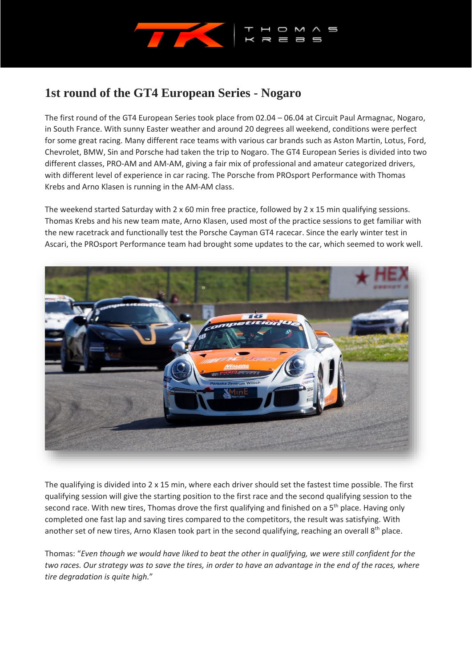

## **1st round of the GT4 European Series - Nogaro**

The first round of the GT4 European Series took place from 02.04 – 06.04 at Circuit Paul Armagnac, Nogaro, in South France. With sunny Easter weather and around 20 degrees all weekend, conditions were perfect for some great racing. Many different race teams with various car brands such as Aston Martin, Lotus, Ford, Chevrolet, BMW, Sin and Porsche had taken the trip to Nogaro. The GT4 European Series is divided into two different classes, PRO-AM and AM-AM, giving a fair mix of professional and amateur categorized drivers, with different level of experience in car racing. The Porsche from PROsport Performance with Thomas Krebs and Arno Klasen is running in the AM-AM class.

The weekend started Saturday with 2 x 60 min free practice, followed by 2 x 15 min qualifying sessions. Thomas Krebs and his new team mate, Arno Klasen, used most of the practice sessions to get familiar with the new racetrack and functionally test the Porsche Cayman GT4 racecar. Since the early winter test in Ascari, the PROsport Performance team had brought some updates to the car, which seemed to work well.



The qualifying is divided into 2 x 15 min, where each driver should set the fastest time possible. The first qualifying session will give the starting position to the first race and the second qualifying session to the second race. With new tires, Thomas drove the first qualifying and finished on a 5<sup>th</sup> place. Having only completed one fast lap and saving tires compared to the competitors, the result was satisfying. With another set of new tires, Arno Klasen took part in the second qualifying, reaching an overall  $8<sup>th</sup>$  place.

Thomas: "*Even though we would have liked to beat the other in qualifying, we were still confident for the two races. Our strategy was to save the tires, in order to have an advantage in the end of the races, where tire degradation is quite high.*"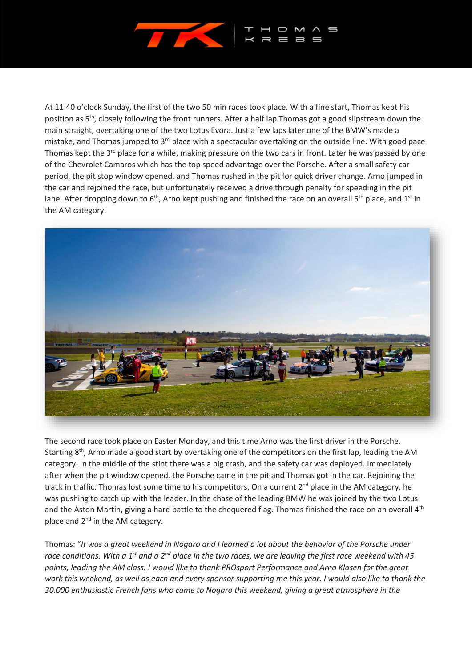

At 11:40 o'clock Sunday, the first of the two 50 min races took place. With a fine start, Thomas kept his position as 5th, closely following the front runners. After a half lap Thomas got a good slipstream down the main straight, overtaking one of the two Lotus Evora. Just a few laps later one of the BMW's made a mistake, and Thomas jumped to  $3<sup>rd</sup>$  place with a spectacular overtaking on the outside line. With good pace Thomas kept the 3<sup>rd</sup> place for a while, making pressure on the two cars in front. Later he was passed by one of the Chevrolet Camaros which has the top speed advantage over the Porsche. After a small safety car period, the pit stop window opened, and Thomas rushed in the pit for quick driver change. Arno jumped in the car and rejoined the race, but unfortunately received a drive through penalty for speeding in the pit lane. After dropping down to  $6<sup>th</sup>$ , Arno kept pushing and finished the race on an overall  $5<sup>th</sup>$  place, and  $1<sup>st</sup>$  in the AM category.



The second race took place on Easter Monday, and this time Arno was the first driver in the Porsche. Starting 8<sup>th</sup>, Arno made a good start by overtaking one of the competitors on the first lap, leading the AM category. In the middle of the stint there was a big crash, and the safety car was deployed. Immediately after when the pit window opened, the Porsche came in the pit and Thomas got in the car. Rejoining the track in traffic, Thomas lost some time to his competitors. On a current 2<sup>nd</sup> place in the AM category, he was pushing to catch up with the leader. In the chase of the leading BMW he was joined by the two Lotus and the Aston Martin, giving a hard battle to the chequered flag. Thomas finished the race on an overall 4<sup>th</sup> place and 2<sup>nd</sup> in the AM category.

Thomas: "*It was a great weekend in Nogaro and I learned a lot about the behavior of the Porsche under race conditions. With a 1st and a 2nd place in the two races, we are leaving the first race weekend with 45 points, leading the AM class. I would like to thank PROsport Performance and Arno Klasen for the great work this weekend, as well as each and every sponsor supporting me this year. I would also like to thank the 30.000 enthusiastic French fans who came to Nogaro this weekend, giving a great atmosphere in the*